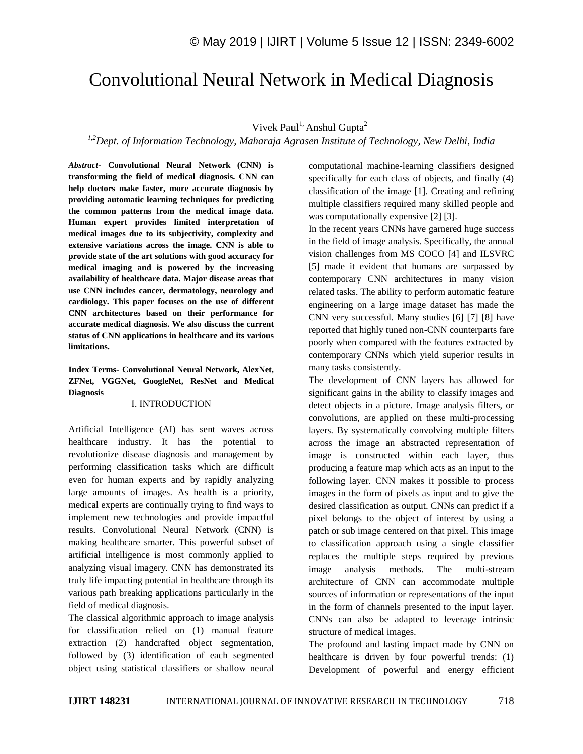# Convolutional Neural Network in Medical Diagnosis

# Vivek Paul<sup>1,</sup> Anshul Gupta<sup>2</sup>

*1,2Dept. of Information Technology, Maharaja Agrasen Institute of Technology, New Delhi, India*

*Abstract*- **Convolutional Neural Network (CNN) is transforming the field of medical diagnosis. CNN can help doctors make faster, more accurate diagnosis by providing automatic learning techniques for predicting the common patterns from the medical image data. Human expert provides limited interpretation of medical images due to its subjectivity, complexity and extensive variations across the image. CNN is able to provide state of the art solutions with good accuracy for medical imaging and is powered by the increasing availability of healthcare data. Major disease areas that use CNN includes cancer, dermatology, neurology and cardiology. This paper focuses on the use of different CNN architectures based on their performance for accurate medical diagnosis. We also discuss the current status of CNN applications in healthcare and its various limitations.**

**Index Terms- Convolutional Neural Network, AlexNet, ZFNet, VGGNet, GoogleNet, ResNet and Medical Diagnosis**

#### I. INTRODUCTION

Artificial Intelligence (AI) has sent waves across healthcare industry. It has the potential to revolutionize disease diagnosis and management by performing classification tasks which are difficult even for human experts and by rapidly analyzing large amounts of images. As health is a priority, medical experts are continually trying to find ways to implement new technologies and provide impactful results. Convolutional Neural Network (CNN) is making healthcare smarter. This powerful subset of artificial intelligence is most commonly applied to analyzing visual imagery. CNN has demonstrated its truly life impacting potential in healthcare through its various path breaking applications particularly in the field of medical diagnosis.

The classical algorithmic approach to image analysis for classification relied on (1) manual feature extraction (2) handcrafted object segmentation, followed by (3) identification of each segmented object using statistical classifiers or shallow neural computational machine-learning classifiers designed specifically for each class of objects, and finally (4) classification of the image [1]. Creating and refining multiple classifiers required many skilled people and was computationally expensive [2] [3].

In the recent years CNNs have garnered huge success in the field of image analysis. Specifically, the annual vision challenges from MS COCO [4] and ILSVRC [5] made it evident that humans are surpassed by contemporary CNN architectures in many vision related tasks. The ability to perform automatic feature engineering on a large image dataset has made the CNN very successful. Many studies [6] [7] [8] have reported that highly tuned non-CNN counterparts fare poorly when compared with the features extracted by contemporary CNNs which yield superior results in many tasks consistently.

The development of CNN layers has allowed for significant gains in the ability to classify images and detect objects in a picture. Image analysis filters, or convolutions, are applied on these multi-processing layers. By systematically convolving multiple filters across the image an abstracted representation of image is constructed within each layer, thus producing a feature map which acts as an input to the following layer. CNN makes it possible to process images in the form of pixels as input and to give the desired classification as output. CNNs can predict if a pixel belongs to the object of interest by using a patch or sub image centered on that pixel. This image to classification approach using a single classifier replaces the multiple steps required by previous image analysis methods. The multi-stream architecture of CNN can accommodate multiple sources of information or representations of the input in the form of channels presented to the input layer. CNNs can also be adapted to leverage intrinsic structure of medical images.

The profound and lasting impact made by CNN on healthcare is driven by four powerful trends: (1) Development of powerful and energy efficient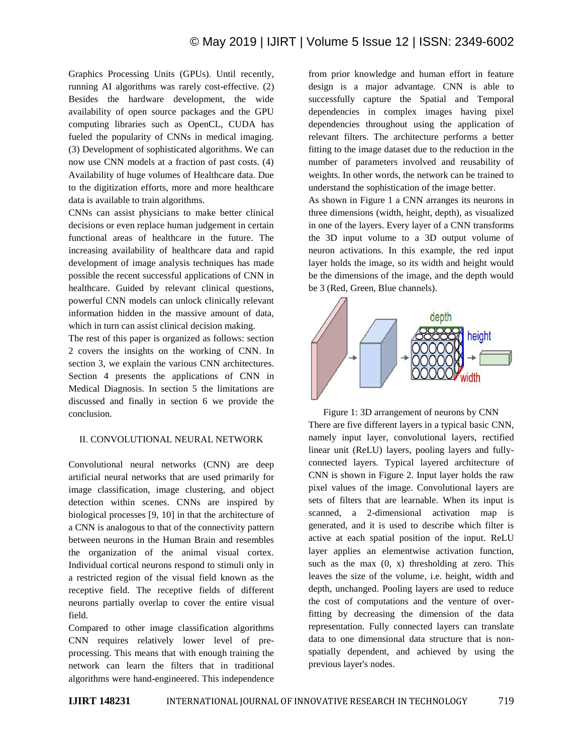Graphics Processing Units (GPUs). Until recently, running AI algorithms was rarely cost-effective. (2) Besides the hardware development, the wide availability of open source packages and the GPU computing libraries such as OpenCL, CUDA has fueled the popularity of CNNs in medical imaging. (3) Development of sophisticated algorithms. We can now use CNN models at a fraction of past costs. (4) Availability of huge volumes of Healthcare data. Due to the digitization efforts, more and more healthcare data is available to train algorithms.

CNNs can assist physicians to make better clinical decisions or even replace human judgement in certain functional areas of healthcare in the future. The increasing availability of healthcare data and rapid development of image analysis techniques has made possible the recent successful applications of CNN in healthcare. Guided by relevant clinical questions, powerful CNN models can unlock clinically relevant information hidden in the massive amount of data, which in turn can assist clinical decision making.

The rest of this paper is organized as follows: section 2 covers the insights on the working of CNN. In section 3, we explain the various CNN architectures. Section 4 presents the applications of CNN in Medical Diagnosis. In section 5 the limitations are discussed and finally in section 6 we provide the conclusion.

## II. CONVOLUTIONAL NEURAL NETWORK

Convolutional neural networks (CNN) are deep artificial neural networks that are used primarily for image classification, image clustering, and object detection within scenes. CNNs are inspired by biological processes [9, 10] in that the architecture of a CNN is analogous to that of the connectivity pattern between neurons in the Human Brain and resembles the organization of the animal visual cortex. Individual cortical neurons respond to stimuli only in a restricted region of the visual field known as the receptive field. The receptive fields of different neurons partially overlap to cover the entire visual field.

Compared to other image classification algorithms CNN requires relatively lower level of preprocessing. This means that with enough training the network can learn the filters that in traditional algorithms were hand-engineered. This independence from prior knowledge and human effort in feature design is a major advantage. CNN is able to successfully capture the Spatial and Temporal dependencies in complex images having pixel dependencies throughout using the application of relevant filters. The architecture performs a better fitting to the image dataset due to the reduction in the number of parameters involved and reusability of weights. In other words, the network can be trained to understand the sophistication of the image better.

As shown in Figure 1 a CNN arranges its neurons in three dimensions (width, height, depth), as visualized in one of the layers. Every layer of a CNN transforms the 3D input volume to a 3D output volume of neuron activations. In this example, the red input layer holds the image, so its width and height would be the dimensions of the image, and the depth would be 3 (Red, Green, Blue channels).



Figure 1: 3D arrangement of neurons by CNN There are five different layers in a typical basic CNN, namely input layer, convolutional layers, rectified linear unit (ReLU) layers, pooling layers and fullyconnected layers. Typical layered architecture of CNN is shown in Figure 2. Input layer holds the raw pixel values of the image. Convolutional layers are sets of filters that are learnable. When its input is scanned, a 2-dimensional activation map is generated, and it is used to describe which filter is active at each spatial position of the input. ReLU layer applies an elementwise activation function, such as the max  $(0, x)$  thresholding at zero. This leaves the size of the volume, i.e. height, width and depth, unchanged. Pooling layers are used to reduce the cost of computations and the venture of overfitting by decreasing the dimension of the data representation. Fully connected layers can translate data to one dimensional data structure that is nonspatially dependent, and achieved by using the previous layer's nodes.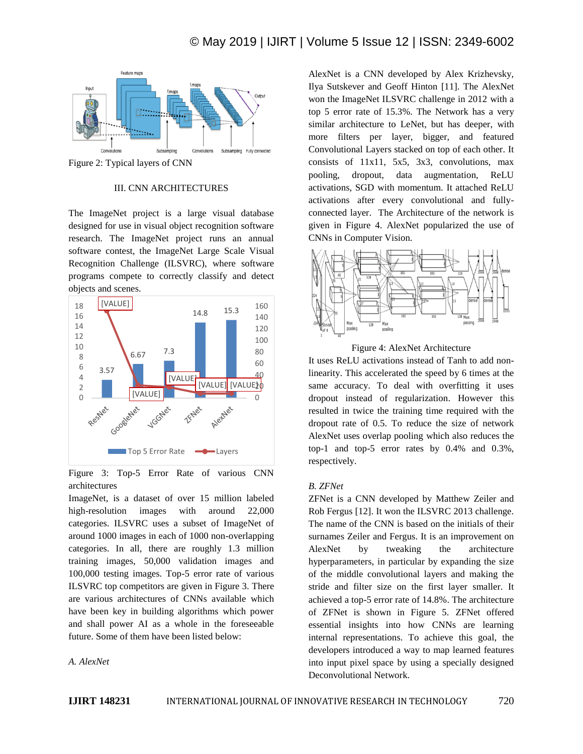

Figure 2: Typical layers of CNN

## III. CNN ARCHITECTURES

The ImageNet project is a large visual database designed for use in visual object recognition software research. The ImageNet project runs an annual software contest, the ImageNet Large Scale Visual Recognition Challenge (ILSVRC), where software programs compete to correctly classify and detect objects and scenes.



Figure 3: Top-5 Error Rate of various CNN architectures

ImageNet, is a dataset of over 15 million labeled high-resolution images with around 22,000 categories. ILSVRC uses a subset of ImageNet of around 1000 images in each of 1000 non-overlapping categories. In all, there are roughly 1.3 million training images, 50,000 validation images and 100,000 testing images. Top-5 error rate of various ILSVRC top competitors are given in Figure 3. There are various architectures of CNNs available which have been key in building algorithms which power and shall power AI as a whole in the foreseeable future. Some of them have been listed below:

*A. AlexNet*

AlexNet is a CNN developed by Alex Krizhevsky, Ilya Sutskever and Geoff Hinton [11]. The AlexNet won the ImageNet ILSVRC challenge in 2012 with a top 5 error rate of 15.3%. The Network has a very similar architecture to LeNet, but has deeper, with more filters per layer, bigger, and featured Convolutional Layers stacked on top of each other. It consists of 11x11, 5x5, 3x3, convolutions, max pooling, dropout, data augmentation, ReLU activations, SGD with momentum. It attached ReLU activations after every convolutional and fullyconnected layer. The Architecture of the network is given in Figure 4. AlexNet popularized the use of CNNs in Computer Vision.



Figure 4: AlexNet Architecture

It uses ReLU activations instead of Tanh to add nonlinearity. This accelerated the speed by 6 times at the same accuracy. To deal with overfitting it uses dropout instead of regularization. However this resulted in twice the training time required with the dropout rate of 0.5. To reduce the size of network AlexNet uses overlap pooling which also reduces the top-1 and top-5 error rates by 0.4% and 0.3%, respectively.

## *B. ZFNet*

ZFNet is a CNN developed by Matthew Zeiler and Rob Fergus [12]. It won the ILSVRC 2013 challenge. The name of the CNN is based on the initials of their surnames Zeiler and Fergus. It is an improvement on AlexNet by tweaking the architecture hyperparameters, in particular by expanding the size of the middle convolutional layers and making the stride and filter size on the first layer smaller. It achieved a top-5 error rate of 14.8%. The architecture of ZFNet is shown in Figure 5. ZFNet offered essential insights into how CNNs are learning internal representations. To achieve this goal, the developers introduced a way to map learned features into input pixel space by using a specially designed Deconvolutional Network.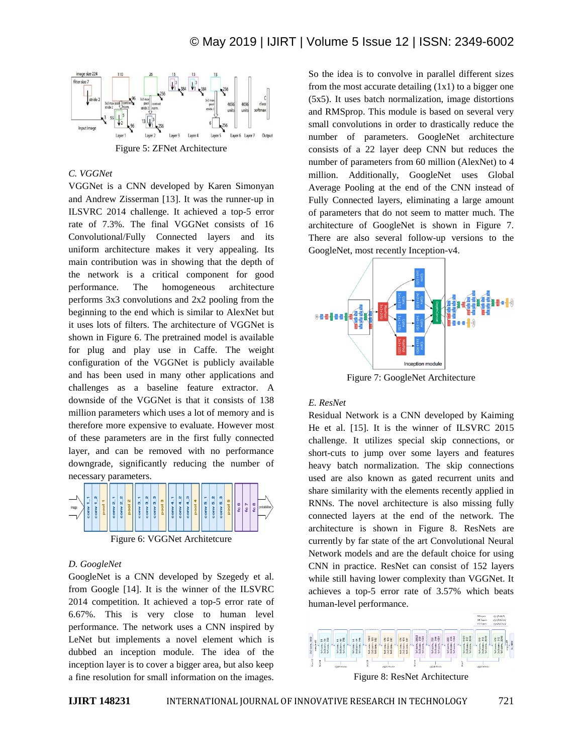

Figure 5: ZFNet Architecture

# *C. VGGNet*

VGGNet is a CNN developed by Karen Simonyan and Andrew Zisserman [13]. It was the runner-up in ILSVRC 2014 challenge. It achieved a top-5 error rate of 7.3%. The final VGGNet consists of 16 Convolutional/Fully Connected layers and its uniform architecture makes it very appealing. Its main contribution was in showing that the depth of the network is a critical component for good performance. The homogeneous architecture performs 3x3 convolutions and 2x2 pooling from the beginning to the end which is similar to AlexNet but it uses lots of filters. The architecture of VGGNet is shown in Figure 6. The pretrained model is available for plug and play use in Caffe. The weight configuration of the VGGNet is publicly available and has been used in many other applications and challenges as a baseline feature extractor. A downside of the VGGNet is that it consists of 138 million parameters which uses a lot of memory and is therefore more expensive to evaluate. However most of these parameters are in the first fully connected layer, and can be removed with no performance downgrade, significantly reducing the number of necessary parameters.



Figure 6: VGGNet Architetcure

# *D. GoogleNet*

GoogleNet is a CNN developed by Szegedy et al. from Google [14]. It is the winner of the ILSVRC 2014 competition. It achieved a top-5 error rate of 6.67%. This is very close to human level performance. The network uses a CNN inspired by LeNet but implements a novel element which is dubbed an inception module. The idea of the inception layer is to cover a bigger area, but also keep a fine resolution for small information on the images. So the idea is to convolve in parallel different sizes from the most accurate detailing  $(1x1)$  to a bigger one (5x5). It uses batch normalization, image distortions and RMSprop. This module is based on several very small convolutions in order to drastically reduce the number of parameters. GoogleNet architecture consists of a 22 layer deep CNN but reduces the number of parameters from 60 million (AlexNet) to 4 million. Additionally, GoogleNet uses Global Average Pooling at the end of the CNN instead of Fully Connected layers, eliminating a large amount of parameters that do not seem to matter much. The architecture of GoogleNet is shown in Figure 7. There are also several follow-up versions to the GoogleNet, most recently Inception-v4.



Figure 7: GoogleNet Architecture

# *E. ResNet*

Residual Network is a CNN developed by Kaiming He et al. [15]. It is the winner of ILSVRC 2015 challenge. It utilizes special skip connections, or short-cuts to jump over some layers and features heavy batch normalization. The skip connections used are also known as gated recurrent units and share similarity with the elements recently applied in RNNs. The novel architecture is also missing fully connected layers at the end of the network. The architecture is shown in Figure 8. ResNets are currently by far state of the art Convolutional Neural Network models and are the default choice for using CNN in practice. ResNet can consist of 152 layers while still having lower complexity than VGGNet. It achieves a top-5 error rate of 3.57% which beats human-level performance.



Figure 8: ResNet Architecture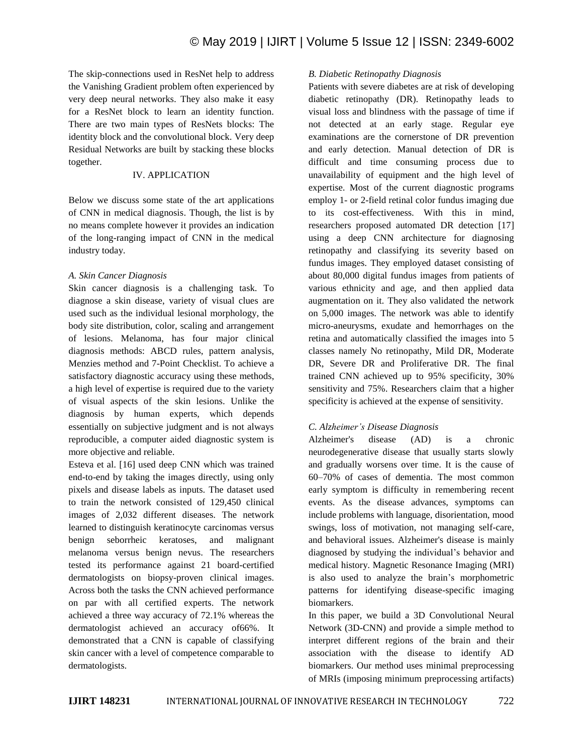The skip-connections used in ResNet help to address the Vanishing Gradient problem often experienced by very deep neural networks. They also make it easy for a ResNet block to learn an identity function. There are two main types of ResNets blocks: The identity block and the convolutional block. Very deep Residual Networks are built by stacking these blocks together.

## IV. APPLICATION

Below we discuss some state of the art applications of CNN in medical diagnosis. Though, the list is by no means complete however it provides an indication of the long-ranging impact of CNN in the medical industry today.

# *A. Skin Cancer Diagnosis*

Skin cancer diagnosis is a challenging task. To diagnose a skin disease, variety of visual clues are used such as the individual lesional morphology, the body site distribution, color, scaling and arrangement of lesions. Melanoma, has four major clinical diagnosis methods: ABCD rules, pattern analysis, Menzies method and 7-Point Checklist. To achieve a satisfactory diagnostic accuracy using these methods, a high level of expertise is required due to the variety of visual aspects of the skin lesions. Unlike the diagnosis by human experts, which depends essentially on subjective judgment and is not always reproducible, a computer aided diagnostic system is more objective and reliable.

Esteva et al. [16] used deep CNN which was trained end-to-end by taking the images directly, using only pixels and disease labels as inputs. The dataset used to train the network consisted of 129,450 clinical images of 2,032 different diseases. The network learned to distinguish keratinocyte carcinomas versus benign seborrheic keratoses, and malignant melanoma versus benign nevus. The researchers tested its performance against 21 board-certified dermatologists on biopsy-proven clinical images. Across both the tasks the CNN achieved performance on par with all certified experts. The network achieved a three way accuracy of 72.1% whereas the dermatologist achieved an accuracy of66%. It demonstrated that a CNN is capable of classifying skin cancer with a level of competence comparable to dermatologists.

# *B. Diabetic Retinopathy Diagnosis*

Patients with severe diabetes are at risk of developing diabetic retinopathy (DR). Retinopathy leads to visual loss and blindness with the passage of time if not detected at an early stage. Regular eye examinations are the cornerstone of DR prevention and early detection. Manual detection of DR is difficult and time consuming process due to unavailability of equipment and the high level of expertise. Most of the current diagnostic programs employ 1- or 2-field retinal color fundus imaging due to its cost-effectiveness. With this in mind, researchers proposed automated DR detection [17] using a deep CNN architecture for diagnosing retinopathy and classifying its severity based on fundus images. They employed dataset consisting of about 80,000 digital fundus images from patients of various ethnicity and age, and then applied data augmentation on it. They also validated the network on 5,000 images. The network was able to identify micro-aneurysms, exudate and hemorrhages on the retina and automatically classified the images into 5 classes namely No retinopathy, Mild DR, Moderate DR, Severe DR and Proliferative DR. The final trained CNN achieved up to 95% specificity, 30% sensitivity and 75%. Researchers claim that a higher specificity is achieved at the expense of sensitivity.

# *C. Alzheimer's Disease Diagnosis*

Alzheimer's disease (AD) is a chronic neurodegenerative disease that usually starts slowly and gradually worsens over time. It is the cause of 60–70% of cases of dementia. The most common early symptom is difficulty in remembering recent events. As the disease advances, symptoms can include problems with language, disorientation, mood swings, loss of motivation, not managing self-care, and behavioral issues. Alzheimer's disease is mainly diagnosed by studying the individual's behavior and medical history. Magnetic Resonance Imaging (MRI) is also used to analyze the brain's morphometric patterns for identifying disease-specific imaging biomarkers.

In this paper, we build a 3D Convolutional Neural Network (3D-CNN) and provide a simple method to interpret different regions of the brain and their association with the disease to identify AD biomarkers. Our method uses minimal preprocessing of MRIs (imposing minimum preprocessing artifacts)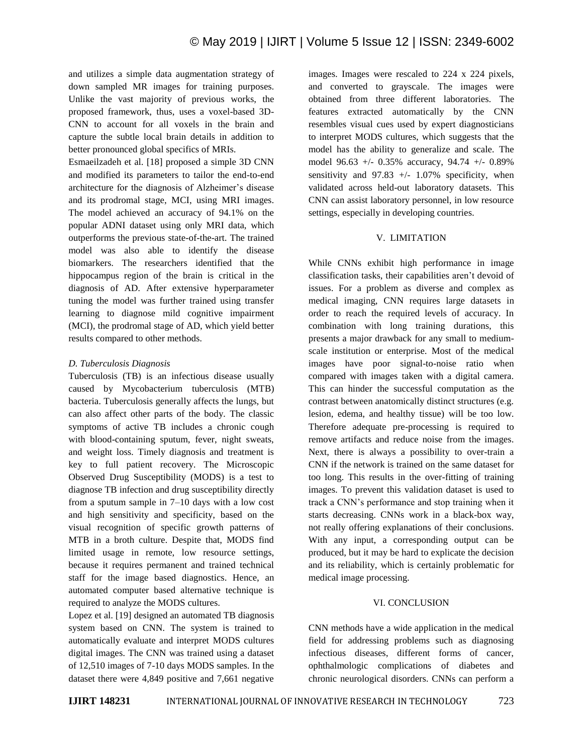and utilizes a simple data augmentation strategy of down sampled MR images for training purposes. Unlike the vast majority of previous works, the proposed framework, thus, uses a voxel-based 3D-CNN to account for all voxels in the brain and capture the subtle local brain details in addition to better pronounced global specifics of MRIs.

Esmaeilzadeh et al. [18] proposed a simple 3D CNN and modified its parameters to tailor the end-to-end architecture for the diagnosis of Alzheimer's disease and its prodromal stage, MCI, using MRI images. The model achieved an accuracy of 94.1% on the popular ADNI dataset using only MRI data, which outperforms the previous state-of-the-art. The trained model was also able to identify the disease biomarkers. The researchers identified that the hippocampus region of the brain is critical in the diagnosis of AD. After extensive hyperparameter tuning the model was further trained using transfer learning to diagnose mild cognitive impairment (MCI), the prodromal stage of AD, which yield better results compared to other methods.

## *D. Tuberculosis Diagnosis*

Tuberculosis (TB) is an infectious disease usually caused by Mycobacterium tuberculosis (MTB) bacteria. Tuberculosis generally affects the lungs, but can also affect other parts of the body. The classic symptoms of active TB includes a chronic cough with blood-containing sputum, fever, night sweats, and weight loss. Timely diagnosis and treatment is key to full patient recovery. The Microscopic Observed Drug Susceptibility (MODS) is a test to diagnose TB infection and drug susceptibility directly from a sputum sample in 7–10 days with a low cost and high sensitivity and specificity, based on the visual recognition of specific growth patterns of MTB in a broth culture. Despite that, MODS find limited usage in remote, low resource settings, because it requires permanent and trained technical staff for the image based diagnostics. Hence, an automated computer based alternative technique is required to analyze the MODS cultures.

Lopez et al. [19] designed an automated TB diagnosis system based on CNN. The system is trained to automatically evaluate and interpret MODS cultures digital images. The CNN was trained using a dataset of 12,510 images of 7-10 days MODS samples. In the dataset there were 4,849 positive and 7,661 negative images. Images were rescaled to 224 x 224 pixels, and converted to grayscale. The images were obtained from three different laboratories. The features extracted automatically by the CNN resembles visual cues used by expert diagnosticians to interpret MODS cultures, which suggests that the model has the ability to generalize and scale. The model 96.63 +/- 0.35% accuracy, 94.74 +/- 0.89% sensitivity and  $97.83$  +/- 1.07% specificity, when validated across held-out laboratory datasets. This CNN can assist laboratory personnel, in low resource settings, especially in developing countries.

## V. LIMITATION

While CNNs exhibit high performance in image classification tasks, their capabilities aren't devoid of issues. For a problem as diverse and complex as medical imaging, CNN requires large datasets in order to reach the required levels of accuracy. In combination with long training durations, this presents a major drawback for any small to mediumscale institution or enterprise. Most of the medical images have poor signal-to-noise ratio when compared with images taken with a digital camera. This can hinder the successful computation as the contrast between anatomically distinct structures (e.g. lesion, edema, and healthy tissue) will be too low. Therefore adequate pre-processing is required to remove artifacts and reduce noise from the images. Next, there is always a possibility to over-train a CNN if the network is trained on the same dataset for too long. This results in the over-fitting of training images. To prevent this validation dataset is used to track a CNN's performance and stop training when it starts decreasing. CNNs work in a black-box way, not really offering explanations of their conclusions. With any input, a corresponding output can be produced, but it may be hard to explicate the decision and its reliability, which is certainly problematic for medical image processing.

#### VI. CONCLUSION

CNN methods have a wide application in the medical field for addressing problems such as diagnosing infectious diseases, different forms of cancer, ophthalmologic complications of diabetes and chronic neurological disorders. CNNs can perform a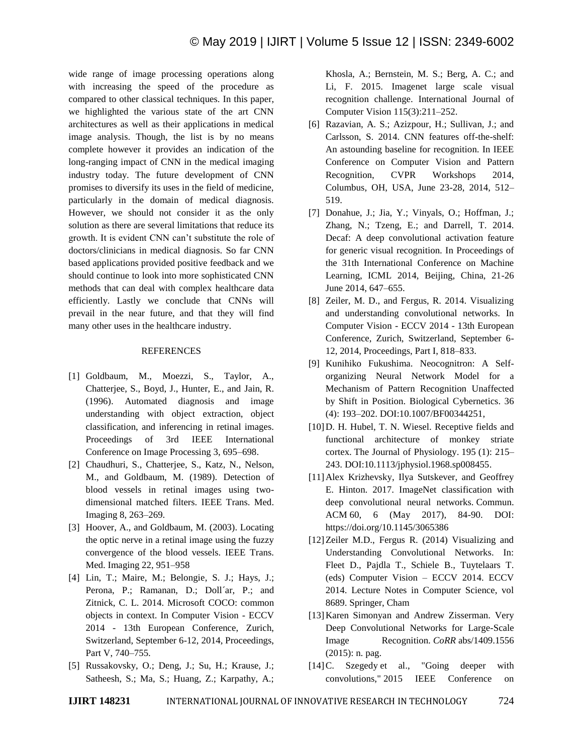wide range of image processing operations along with increasing the speed of the procedure as compared to other classical techniques. In this paper, we highlighted the various state of the art CNN architectures as well as their applications in medical image analysis. Though, the list is by no means complete however it provides an indication of the long-ranging impact of CNN in the medical imaging industry today. The future development of CNN promises to diversify its uses in the field of medicine, particularly in the domain of medical diagnosis. However, we should not consider it as the only solution as there are several limitations that reduce its growth. It is evident CNN can't substitute the role of doctors/clinicians in medical diagnosis. So far CNN based applications provided positive feedback and we should continue to look into more sophisticated CNN methods that can deal with complex healthcare data efficiently. Lastly we conclude that CNNs will prevail in the near future, and that they will find many other uses in the healthcare industry.

# **REFERENCES**

- [1] Goldbaum, M., Moezzi, S., Taylor, A., Chatterjee, S., Boyd, J., Hunter, E., and Jain, R. (1996). Automated diagnosis and image understanding with object extraction, object classification, and inferencing in retinal images. Proceedings of 3rd IEEE International Conference on Image Processing 3, 695–698.
- [2] Chaudhuri, S., Chatterjee, S., Katz, N., Nelson, M., and Goldbaum, M. (1989). Detection of blood vessels in retinal images using twodimensional matched filters. IEEE Trans. Med. Imaging 8, 263–269.
- [3] Hoover, A., and Goldbaum, M. (2003). Locating the optic nerve in a retinal image using the fuzzy convergence of the blood vessels. IEEE Trans. Med. Imaging 22, 951–958
- [4] Lin, T.; Maire, M.; Belongie, S. J.; Hays, J.; Perona, P.; Ramanan, D.; Doll'ar, P.; and Zitnick, C. L. 2014. Microsoft COCO: common objects in context. In Computer Vision - ECCV 2014 - 13th European Conference, Zurich, Switzerland, September 6-12, 2014, Proceedings, Part V, 740–755.
- [5] Russakovsky, O.; Deng, J.; Su, H.; Krause, J.; Satheesh, S.; Ma, S.; Huang, Z.; Karpathy, A.;

Khosla, A.; Bernstein, M. S.; Berg, A. C.; and Li, F. 2015. Imagenet large scale visual recognition challenge. International Journal of Computer Vision 115(3):211–252.

- [6] Razavian, A. S.; Azizpour, H.; Sullivan, J.; and Carlsson, S. 2014. CNN features off-the-shelf: An astounding baseline for recognition. In IEEE Conference on Computer Vision and Pattern Recognition, CVPR Workshops 2014, Columbus, OH, USA, June 23-28, 2014, 512– 519.
- [7] Donahue, J.; Jia, Y.; Vinyals, O.; Hoffman, J.; Zhang, N.; Tzeng, E.; and Darrell, T. 2014. Decaf: A deep convolutional activation feature for generic visual recognition. In Proceedings of the 31th International Conference on Machine Learning, ICML 2014, Beijing, China, 21-26 June 2014, 647–655.
- [8] Zeiler, M. D., and Fergus, R. 2014. Visualizing and understanding convolutional networks. In Computer Vision - ECCV 2014 - 13th European Conference, Zurich, Switzerland, September 6- 12, 2014, Proceedings, Part I, 818–833.
- [9] Kunihiko Fukushima. Neocognitron: A Selforganizing Neural Network Model for a Mechanism of Pattern Recognition Unaffected by Shift in Position. Biological Cybernetics. 36 (4): 193–202. DOI:10.1007/BF00344251,
- [10] D. H. Hubel, T. N. Wiesel. Receptive fields and functional architecture of monkey striate cortex. The Journal of Physiology. 195 (1): 215– 243. DOI:10.1113/jphysiol.1968.sp008455.
- [11]Alex Krizhevsky, Ilya Sutskever, and Geoffrey E. Hinton. 2017. ImageNet classification with deep convolutional neural networks. Commun. ACM 60, 6 (May 2017), 84-90. DOI: https://doi.org/10.1145/3065386
- [12] Zeiler M.D., Fergus R. (2014) Visualizing and Understanding Convolutional Networks. In: Fleet D., Pajdla T., Schiele B., Tuytelaars T. (eds) Computer Vision – ECCV 2014. ECCV 2014. Lecture Notes in Computer Science, vol 8689. Springer, Cham
- [13]Karen Simonyan and Andrew Zisserman. Very Deep Convolutional Networks for Large-Scale Image Recognition. *CoRR* abs/1409.1556 (2015): n. pag.
- [14] C. Szegedy et al., "Going deeper with convolutions," 2015 IEEE Conference on